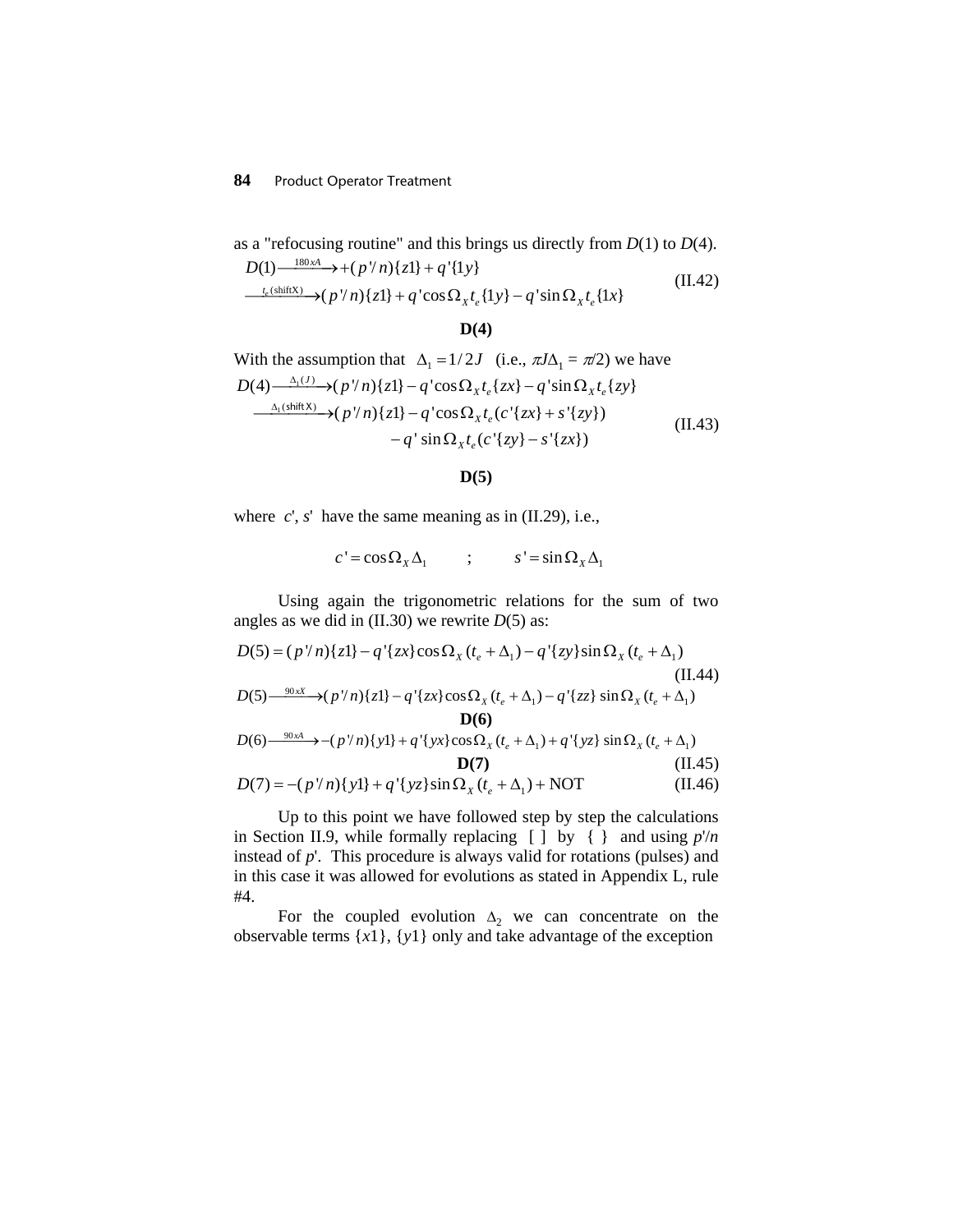## **84** Product Operator Treatment

as a "refocusing routine" and this brings us directly from 
$$
D(1)
$$
 to  $D(4)$ .  
\n
$$
D(1) \xrightarrow{180xA} + (p'/n)\{z1\} + q'\{1y\}
$$
\n
$$
\xrightarrow{t_e(\text{shiftX)} \to (p'/n)\{z1\} + q'\cos\Omega_x t_e\{1y\} - q'\sin\Omega_x t_e\{1x\}}
$$
\n(II.42)

**D(4)**

With the assumption that 
$$
\Delta_1 = 1/2J
$$
 (i.e.,  $\pi J \Delta_1 = \pi/2$ ) we have  
\n
$$
D(4) \xrightarrow{\Delta_1(J)} \rightarrow (p'/n) \{z\} - q' \cos \Omega_x t_e \{zx\} - q' \sin \Omega_x t_e \{zy\}
$$
\n
$$
\xrightarrow{\Delta_1(\text{shiftX})} \rightarrow (p'/n) \{z\} - q' \cos \Omega_x t_e (c' \{zx\} + s' \{zy\})
$$
\n
$$
-q' \sin \Omega_x t_e (c' \{zy\} - s' \{zx\})
$$
\n(II.43)

## **D(5)**

where *c*', *s*' have the same meaning as in (II.29), i.e.,

$$
c' = \cos \Omega_x \Delta_1 \qquad ; \qquad s' = \sin \Omega_x \Delta_1
$$

Using again the trigonometric relations for the sum of two angles as we did in (II.30) we rewrite *D*(5) as:

$$
D(5) = (p'/n)\{z\} - q'\{zx\}\cos\Omega_x(t_e + \Delta_1) - q'\{zy\}\sin\Omega_x(t_e + \Delta_1)
$$
\n(II.44)  
\n
$$
D(5) \xrightarrow{-90x} (p'/n)\{z\} - q'\{zx\}\cos\Omega_x(t_e + \Delta_1) - q'\{zz\}\sin\Omega_x(t_e + \Delta_1)
$$
\n
$$
D(6)
$$

$$
D(6) \xrightarrow{\phantom{0}90xA} -(p'/n)\{y\} + q'\{yx\} \cos \Omega_x (t_e + \Delta_1) + q'\{yz\} \sin \Omega_x (t_e + \Delta_1)
$$
  
\n
$$
D(7) = -(p'/n)\{y\} + q'\{yz\} \sin \Omega_x (t_e + \Delta_1) + \text{NOT}
$$
 (II.45)  
\n(II.46)

Up to this point we have followed step by step the calculations in Section II.9, while formally replacing [ ] by { } and using *p*'/*n* instead of *p*'. This procedure is always valid for rotations (pulses) and in this case it was allowed for evolutions as stated in Appendix L, rule #4.

For the coupled evolution  $\Delta_2$  we can concentrate on the observable terms {*x*1}, {*y*1} only and take advantage of the exception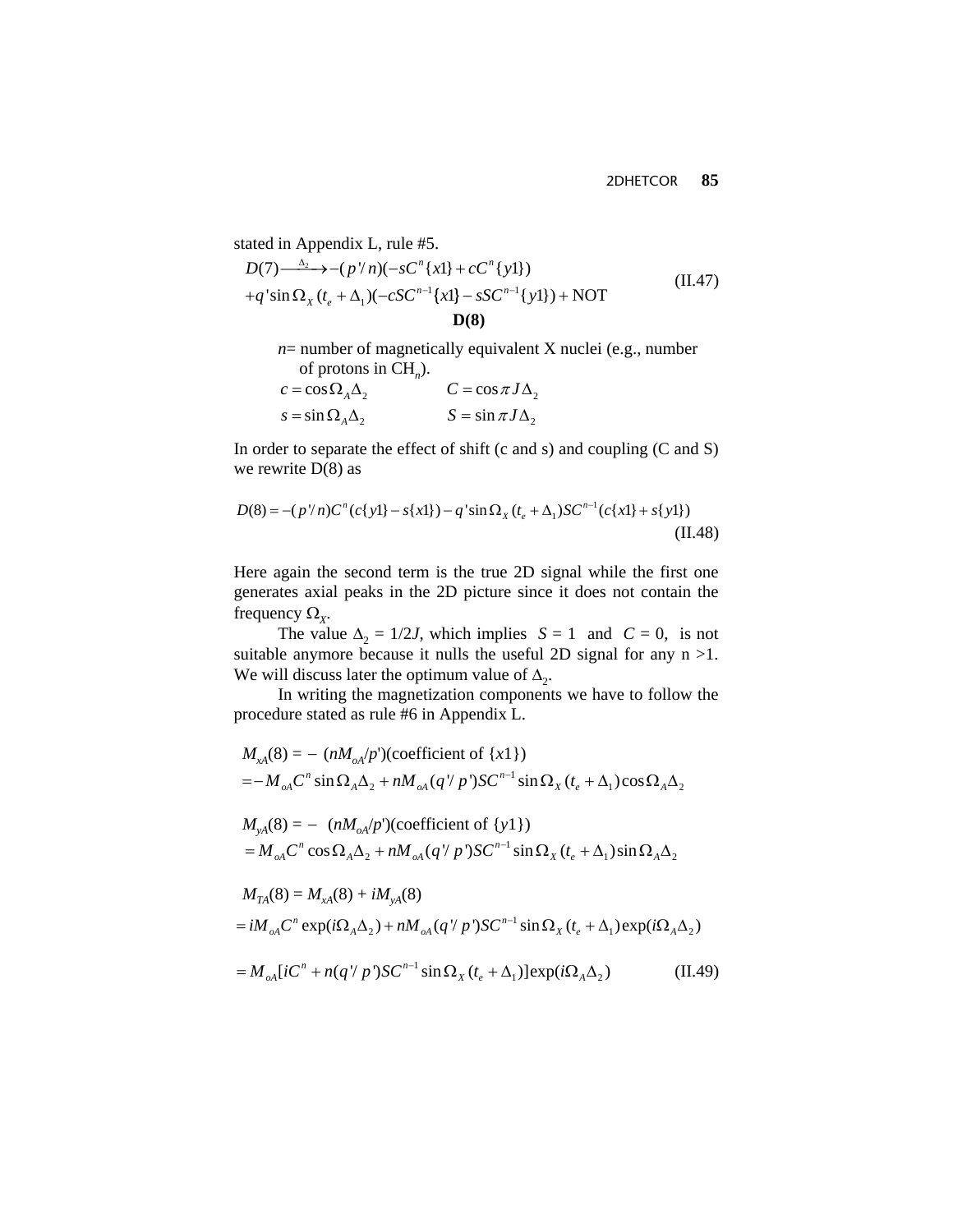stated in Appendix L, rule #5.  
\n
$$
D(7) \xrightarrow{\Delta_2} -(p'/n)(-sC^n\{x\} + cC^n\{y\}) + q'\sin\Omega_x(t_e + \Delta_1)(-cSC^{n-1}\{x\} - sSC^{n-1}\{y\}) + NOT
$$
\n
$$
D(8)
$$
\n(II.47)

 *n*= number of magnetically equivalent X nuclei (e.g., number of protons in CH*n*).

$$
c = \cos \Omega_A \Delta_2
$$
  
\n
$$
S = \sin \Omega_A \Delta_2
$$
  
\n
$$
C = \cos \pi J \Delta_2
$$
  
\n
$$
S = \sin \pi J \Delta_2
$$

In order to separate the effect of shift (c and s) and coupling (C and S) we rewrite  $D(8)$  as

$$
D(8) = -(p'/n)C^{n}(c\{y\}) - s\{x\}) - q'\sin\Omega_{x}(t_{e} + \Delta_{1})SC^{n-1}(c\{x\}) + s\{y\})
$$
\n(II.48)

Here again the second term is the true 2D signal while the first one generates axial peaks in the 2D picture since it does not contain the frequency  $\Omega_{\rm x}$ .

The value  $\Delta_2 = 1/2J$ , which implies  $S = 1$  and  $C = 0$ , is not suitable anymore because it nulls the useful 2D signal for any  $n > 1$ . We will discuss later the optimum value of  $\Delta_2$ .

In writing the magnetization components we have to follow the procedure stated as rule #6 in Appendix L.

$$
M_{xA}(8) = -(nM_{oA}/p')(\text{coefficient of } \{x1\})
$$
  
\n
$$
= -M_{oA}C^{n} \sin \Omega_{A}\Delta_{2} + nM_{oA}(q'/p')SC^{n-1} \sin \Omega_{X}(t_{e} + \Delta_{1})\cos \Omega_{A}\Delta_{2}
$$
  
\n
$$
M_{yA}(8) = -(nM_{oA}/p')(\text{coefficient of } \{y1\})
$$
  
\n
$$
= M_{oA}C^{n} \cos \Omega_{A}\Delta_{2} + nM_{oA}(q'/p')SC^{n-1} \sin \Omega_{X}(t_{e} + \Delta_{1})\sin \Omega_{A}\Delta_{2}
$$
  
\n
$$
M_{TA}(8) = M_{xA}(8) + iM_{yA}(8)
$$
  
\n
$$
= iM_{oA}C^{n} \exp(i\Omega_{A}\Delta_{2}) + nM_{oA}(q'/p')SC^{n-1} \sin \Omega_{X}(t_{e} + \Delta_{1})\exp(i\Omega_{A}\Delta_{2})
$$
  
\n
$$
= M_{oA}[iC^{n} + n(q'/p')SC^{n-1}\sin \Omega_{X}(t_{e} + \Delta_{1})]\exp(i\Omega_{A}\Delta_{2})
$$
 (II.49)